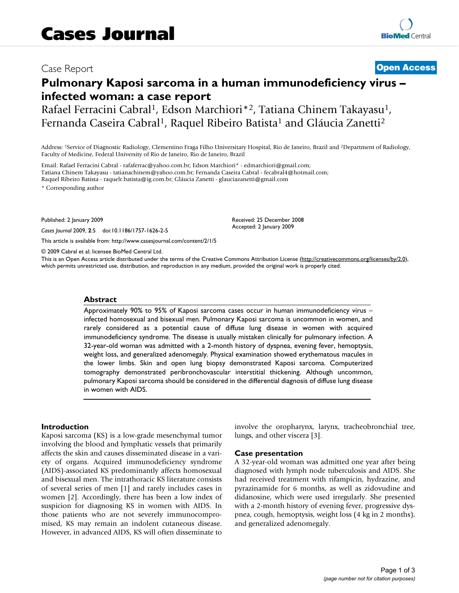## Case Report **[Open Access](http://www.biomedcentral.com/info/about/charter/)**

# **Pulmonary Kaposi sarcoma in a human immunodeficiency virus – infected woman: a case report**

Rafael Ferracini Cabral<sup>1</sup>, Edson Marchiori<sup>\*2</sup>, Tatiana Chinem Takayasu<sup>1</sup>, Fernanda Caseira Cabral<sup>1</sup>, Raquel Ribeiro Batista<sup>1</sup> and Gláucia Zanetti<sup>2</sup>

Address: 1Service of Diagnostic Radiology, Clementino Fraga Filho Universitary Hospital, Rio de Janeiro, Brazil and 2Department of Radiology, Faculty of Medicine, Federal University of Rio de Janeiro, Rio de Janeiro, Brazil

Email: Rafael Ferracini Cabral - rafaferrac@yahoo.com.br; Edson Marchiori\* - edmarchiori@gmail.com; Tatiana Chinem Takayasu - tatianachinem@yahoo.com.br; Fernanda Caseira Cabral - fecabral4@hotmail.com; Raquel Ribeiro Batista - raquelr.batista@ig.com.br; Gláucia Zanetti - glauciazanetti@gmail.com

\* Corresponding author

Published: 2 January 2009

*Cases Journal* 2009, **2**:5 doi:10.1186/1757-1626-2-5

[This article is available from: http://www.casesjournal.com/content/2/1/5](http://www.casesjournal.com/content/2/1/5)

© 2009 Cabral et al; licensee BioMed Central Ltd.

This is an Open Access article distributed under the terms of the Creative Commons Attribution License [\(http://creativecommons.org/licenses/by/2.0\)](http://creativecommons.org/licenses/by/2.0), which permits unrestricted use, distribution, and reproduction in any medium, provided the original work is properly cited.

#### **Abstract**

Approximately 90% to 95% of Kaposi sarcoma cases occur in human immunodeficiency virus – infected homosexual and bisexual men. Pulmonary Kaposi sarcoma is uncommon in women, and rarely considered as a potential cause of diffuse lung disease in women with acquired immunodeficiency syndrome. The disease is usually mistaken clinically for pulmonary infection. A 32-year-old woman was admitted with a 2-month history of dyspnea, evening fever, hemoptysis, weight loss, and generalized adenomegaly. Physical examination showed erythematous macules in the lower limbs. Skin and open lung biopsy demonstrated Kaposi sarcoma. Computerized tomography demonstrated peribronchovascular interstitial thickening. Although uncommon, pulmonary Kaposi sarcoma should be considered in the differential diagnosis of diffuse lung disease in women with AIDS.

#### **Introduction**

Kaposi sarcoma (KS) is a low-grade mesenchymal tumor involving the blood and lymphatic vessels that primarily affects the skin and causes disseminated disease in a variety of organs. Acquired immunodeficiency syndrome (AIDS)-associated KS predominantly affects homosexual and bisexual men. The intrathoracic KS literature consists of several series of men [1] and rarely includes cases in women [2]. Accordingly, there has been a low index of suspicion for diagnosing KS in women with AIDS. In those patients who are not severely immunocompromised, KS may remain an indolent cutaneous disease. However, in advanced AIDS, KS will often disseminate to involve the oropharynx, larynx, tracheobronchial tree, lungs, and other viscera [3].

#### **Case presentation**

Received: 25 December 2008 Accepted: 2 January 2009

A 32-year-old woman was admitted one year after being diagnosed with lymph node tuberculosis and AIDS. She had received treatment with rifampicin, hydrazine, and pyrazinamide for 6 months, as well as zidovudine and didanosine, which were used irregularly. She presented with a 2-month history of evening fever, progressive dyspnea, cough, hemoptysis, weight loss (4 kg in 2 months), and generalized adenomegaly.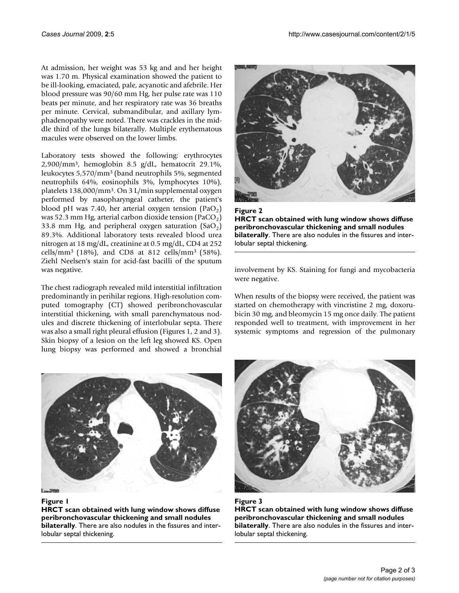At admission, her weight was 53 kg and and her height was 1.70 m. Physical examination showed the patient to be ill-looking, emaciated, pale, acyanotic and afebrile. Her blood pressure was 90/60 mm Hg, her pulse rate was 110 beats per minute, and her respiratory rate was 36 breaths per minute. Cervical, submandibular, and axillary lymphadenopathy were noted. There was crackles in the middle third of the lungs bilaterally. Multiple erythematous macules were observed on the lower limbs.

Laboratory tests showed the following: erythrocytes 2,900/mm3, hemoglobin 8.5 g/dL, hematocrit 29.1%, leukocytes 5,570/mm3 (band neutrophils 5%, segmented neutrophils 64%, eosinophils 3%, lymphocytes 10%), platelets 138,000/mm3. On 3 L/min supplemental oxygen performed by nasopharyngeal catheter, the patient's blood pH was 7.40, her arterial oxygen tension  $(PaO<sub>2</sub>)$ was 52.3 mm Hg, arterial carbon dioxide tension (PaCO<sub>2</sub>) 33.8 mm Hg, and peripheral oxygen saturation  $(SaO<sub>2</sub>)$ 89.3%. Additional laboratory tests revealed blood urea nitrogen at 18 mg/dL, creatinine at 0.5 mg/dL, CD4 at 252 cells/mm3 (18%), and CD8 at 812 cells/mm3 (58%). Ziehl Neelsen's stain for acid-fast bacilli of the sputum was negative.

The chest radiograph revealed mild interstitial infiltration predominantly in perihilar regions. High-resolution computed tomography (CT) showed peribronchovascular interstitial thickening, with small parenchymatous nodules and discrete thickening of interlobular septa. There was also a small right pleural effusion (Figures 1, 2 and 3). Skin biopsy of a lesion on the left leg showed KS. Open lung biopsy was performed and showed a bronchial





**HRCT scan obtained with lung window shows diffuse peribronchovascular thickening and small nodules bilaterally**. There are also nodules in the fissures and interlobular septal thickening.

involvement by KS. Staining for fungi and mycobacteria were negative.

When results of the biopsy were received, the patient was started on chemotherapy with vincristine 2 mg, doxorubicin 30 mg, and bleomycin 15 mg once daily. The patient responded well to treatment, with improvement in her systemic symptoms and regression of the pulmonary



#### Figure 1

**HRCT scan obtained with lung window shows diffuse peribronchovascular thickening and small nodules bilaterally**. There are also nodules in the fissures and interlobular septal thickening.



Figure 3 **HRCT scan obtained with lung window shows diffuse peribronchovascular thickening and small nodules bilaterally**. There are also nodules in the fissures and interlobular septal thickening.